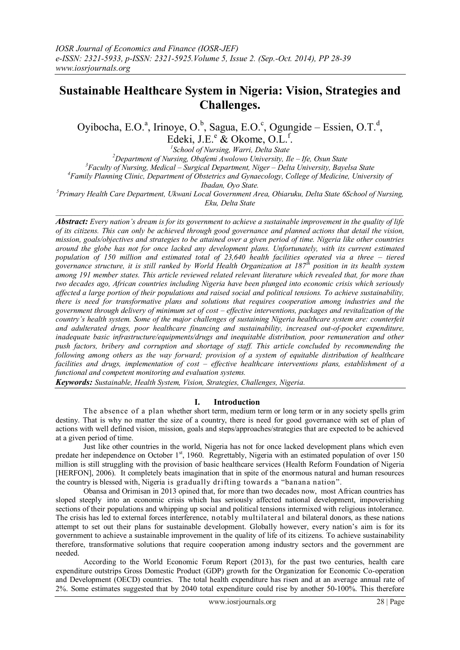# **Sustainable Healthcare System in Nigeria: Vision, Strategies and Challenges.**

Oyibocha, E.O.<sup>a</sup>, Irinoye, O.<sup>b</sup>, Sagua, E.O.<sup>c</sup>, Ogungide – Essien, O.T.<sup>d</sup>, Edeki, J.E.<sup>e</sup> & Okome, O.L.<sup>f</sup>.

*1 School of Nursing, Warri, Delta State* <sup>2</sup>Department of Nursing, Obafemi Awolowo University, Ile – Ife, Osun State *<sup>3</sup>Faculty of Nursing, Medical – Surgical Department, Niger – Delta University, Bayelsa State <sup>4</sup>Family Planning Clinic, Department of Obstetrics and Gynaecology, College of Medicine, University of Ibadan, Oyo State.*

*<sup>5</sup>Primary Health Care Department, Ukwani Local Government Area, Obiaruku, Delta State 6School of Nursing, Eku, Delta State*  $\mathcal{L}_\mathcal{L} = \{ \mathcal{L}_\mathcal{L} = \{ \mathcal{L}_\mathcal{L} = \{ \mathcal{L}_\mathcal{L} = \{ \mathcal{L}_\mathcal{L} = \{ \mathcal{L}_\mathcal{L} = \{ \mathcal{L}_\mathcal{L} = \{ \mathcal{L}_\mathcal{L} = \{ \mathcal{L}_\mathcal{L} = \{ \mathcal{L}_\mathcal{L} = \{ \mathcal{L}_\mathcal{L} = \{ \mathcal{L}_\mathcal{L} = \{ \mathcal{L}_\mathcal{L} = \{ \mathcal{L}_\mathcal{L} = \{ \mathcal{L}_\mathcal{$ 

*Abstract: Every nation's dream is for its government to achieve a sustainable improvement in the quality of life of its citizens. This can only be achieved through good governance and planned actions that detail the vision, mission, goals/objectives and strategies to be attained over a given period of time. Nigeria like other countries around the globe has not for once lacked any development plans. Unfortunately, with its current estimated population of 150 million and estimated total of 23,640 health facilities operated via a three – tiered governance structure, it is still ranked by World Health Organization at 187th position in its health system among 191 member states. This article reviewed related relevant literature which revealed that, for more than two decades ago, African countries including Nigeria have been plunged into economic crisis which seriously affected a large portion of their populations and raised social and political tensions. To achieve sustainability, there is need for transformative plans and solutions that requires cooperation among industries and the*  government through delivery of minimum set of cost – effective interventions, packages and revitalization of the *country's health system. Some of the major challenges of sustaining Nigeria healthcare system are: counterfeit and adulterated drugs, poor healthcare financing and sustainability, increased out-of-pocket expenditure, inadequate basic infrastructure/equipments/drugs and inequitable distribution, poor remuneration and other push factors, bribery and corruption and shortage of staff. This article concluded by recommending the following among others as the way forward; provision of a system of equitable distribution of healthcare facilities and drugs, implementation of cost – effective healthcare interventions plans, establishment of a functional and competent monitoring and evaluation systems.*

*Keywords: Sustainable, Health System, Vision, Strategies, Challenges, Nigeria.* 

## **I. Introduction**

The absence of a plan whether short term, medium term or long term or in any society spells grim destiny. That is why no matter the size of a country, there is need for good governance with set of plan of actions with well defined vision, mission, goals and steps/approaches/strategies that are expected to be achieved at a given period of time.

Just like other countries in the world, Nigeria has not for once lacked development plans which even predate her independence on October 1<sup>st</sup>, 1960. Regrettably, Nigeria with an estimated population of over 150 million is still struggling with the provision of basic healthcare services (Health Reform Foundation of Nigeria [HERFON], 2006). It completely beats imagination that in spite of the enormous natural and human resources the country is blessed with, Nigeria is gradually drifting towards a "banana nation".

Obansa and Orimisan in 2013 opined that, for more than two decades now, most African countries has sloped steeply into an economic crisis which has seriously affected national development, impoverishing sections of their populations and whipping up social and political tensions intermixed with religious intolerance. The crisis has led to external forces interference, notably multilateral and bilateral donors, as these nations attempt to set out their plans for sustainable development. Globally however, every nation's aim is for its government to achieve a sustainable improvement in the quality of life of its citizens. To achieve sustainability therefore, transformative solutions that require cooperation among industry sectors and the government are needed.

According to the World Economic Forum Report (2013), for the past two centuries, health care expenditure outstrips Gross Domestic Product (GDP) growth for the Organization for Economic Co-operation and Development (OECD) countries. The total health expenditure has risen and at an average annual rate of 2%. Some estimates suggested that by 2040 total expenditure could rise by another 50-100%. This therefore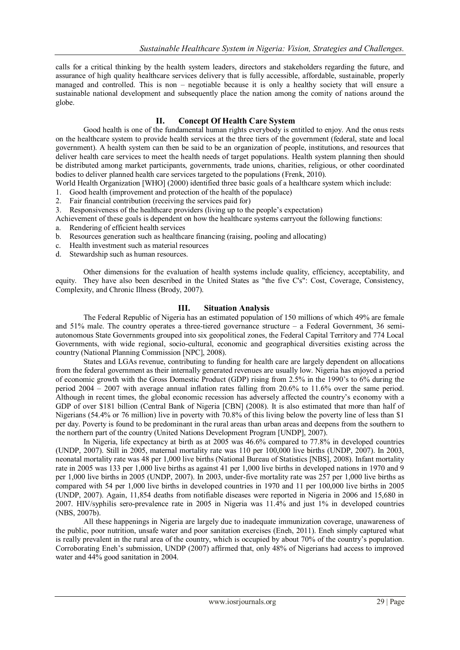calls for a critical thinking by the health system leaders, directors and stakeholders regarding the future, and assurance of high quality healthcare services delivery that is fully accessible, affordable, sustainable, properly managed and controlled. This is non – negotiable because it is only a healthy society that will ensure a sustainable national development and subsequently place the nation among the comity of nations around the globe.

## **II. Concept Of Health Care System**

Good health is one of the fundamental human rights everybody is entitled to enjoy. And the onus rests on the healthcare system to provide health services at the three tiers of the government (federal, state and local government). A health system can then be said to be an organization of people, institutions, and resources that deliver health care services to meet the health needs of target populations. Health system planning then should be distributed among market participants, governments, trade unions, charities, religious, or other coordinated bodies to deliver planned health care services targeted to the populations (Frenk, 2010).

World Health Organization [WHO] (2000) identified three basic goals of a healthcare system which include:

- 1. Good health (improvement and protection of the health of the populace)
- 2. Fair financial contribution (receiving the services paid for)
- 3. Responsiveness of the healthcare providers (living up to the people's expectation)

Achievement of these goals is dependent on how the healthcare systems carryout the following functions: a. Rendering of efficient health services

- b. Resources generation such as healthcare financing (raising, pooling and allocating)
- c. Health investment such as material resources
- d. Stewardship such as human resources.

Other dimensions for the evaluation of health systems include quality, efficiency, acceptability, and equity. They have also been described in the United States as "the five C's": Cost, Coverage, Consistency, Complexity, and Chronic Illness (Brody, 2007).

## **III. Situation Analysis**

The Federal Republic of Nigeria has an estimated population of 150 millions of which 49% are female and 51% male. The country operates a three-tiered governance structure – a Federal Government, 36 semiautonomous State Governments grouped into six geopolitical zones, the Federal Capital Territory and 774 Local Governments, with wide regional, socio-cultural, economic and geographical diversities existing across the country (National Planning Commission [NPC], 2008).

States and LGAs revenue, contributing to funding for health care are largely dependent on allocations from the federal government as their internally generated revenues are usually low. Nigeria has enjoyed a period of economic growth with the Gross Domestic Product (GDP) rising from 2.5% in the 1990's to 6% during the period 2004 – 2007 with average annual inflation rates falling from 20.6% to 11.6% over the same period. Although in recent times, the global economic recession has adversely affected the country's economy with a GDP of over \$181 billion (Central Bank of Nigeria [CBN] (2008). It is also estimated that more than half of Nigerians (54.4% or 76 million) live in poverty with 70.8% of this living below the poverty line of less than \$1 per day. Poverty is found to be predominant in the rural areas than urban areas and deepens from the southern to the northern part of the country (United Nations Development Program [UNDP], 2007).

In Nigeria, life expectancy at birth as at 2005 was 46.6% compared to 77.8% in developed countries (UNDP, 2007). Still in 2005, maternal mortality rate was 110 per 100,000 live births (UNDP, 2007). In 2003, neonatal mortality rate was 48 per 1,000 live births (National Bureau of Statistics [NBS], 2008). Infant mortality rate in 2005 was 133 per 1,000 live births as against 41 per 1,000 live births in developed nations in 1970 and 9 per 1,000 live births in 2005 (UNDP, 2007). In 2003, under-five mortality rate was 257 per 1,000 live births as compared with 54 per 1,000 live births in developed countries in 1970 and 11 per 100,000 live births in 2005 (UNDP, 2007). Again, 11,854 deaths from notifiable diseases were reported in Nigeria in 2006 and 15,680 in 2007. HIV/syphilis sero-prevalence rate in 2005 in Nigeria was 11.4% and just 1% in developed countries (NBS, 2007b).

All these happenings in Nigeria are largely due to inadequate immunization coverage, unawareness of the public, poor nutrition, unsafe water and poor sanitation exercises (Eneh, 2011). Eneh simply captured what is really prevalent in the rural area of the country, which is occupied by about 70% of the country's population. Corroborating Eneh's submission, UNDP (2007) affirmed that, only 48% of Nigerians had access to improved water and 44% good sanitation in 2004.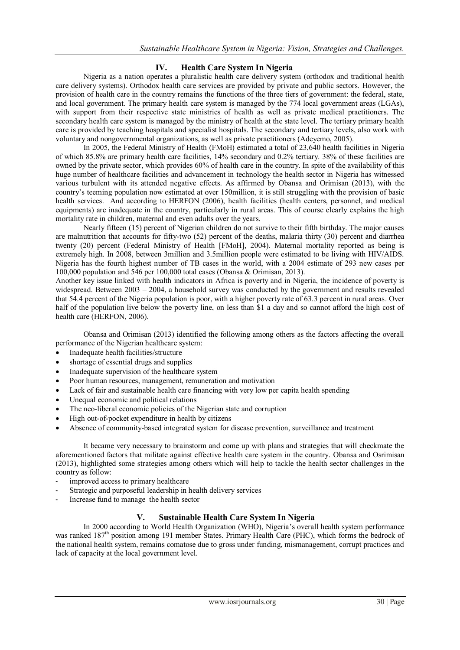# **IV. Health Care System In Nigeria**

Nigeria as a nation operates a pluralistic health care delivery system (orthodox and traditional health care delivery systems). Orthodox health care services are provided by private and public sectors. However, the provision of health care in the country remains the functions of the three tiers of government: the federal, state, and local government. The primary health care system is managed by the 774 local government areas (LGAs), with support from their respective state ministries of health as well as private medical practitioners. The secondary health care system is managed by the ministry of health at the state level. The tertiary primary health care is provided by teaching hospitals and specialist hospitals. The secondary and tertiary levels, also work with voluntary and nongovernmental organizations, as well as private practitioners (Adeyemo, 2005).

In 2005, the Federal Ministry of Health (FMoH) estimated a total of 23,640 health facilities in Nigeria of which 85.8% are primary health care facilities, 14% secondary and 0.2% tertiary. 38% of these facilities are owned by the private sector, which provides 60% of health care in the country. In spite of the availability of this huge number of healthcare facilities and advancement in technology the health sector in Nigeria has witnessed various turbulent with its attended negative effects. As affirmed by Obansa and Orimisan (2013), with the country's teeming population now estimated at over 150million, it is still struggling with the provision of basic health services. And according to HERFON (2006), health facilities (health centers, personnel, and medical equipments) are inadequate in the country, particularly in rural areas. This of course clearly explains the high mortality rate in children, maternal and even adults over the years.

Nearly fifteen (15) percent of Nigerian children do not survive to their fifth birthday. The major causes are malnutrition that accounts for fifty-two (52) percent of the deaths, malaria thirty (30) percent and diarrhea twenty (20) percent (Federal Ministry of Health [FMoH], 2004). Maternal mortality reported as being is extremely high. In 2008, between 3million and 3.5million people were estimated to be living with HIV/AIDS. Nigeria has the fourth highest number of TB cases in the world, with a 2004 estimate of 293 new cases per 100,000 population and 546 per 100,000 total cases (Obansa & Orimisan, 2013).

Another key issue linked with health indicators in Africa is poverty and in Nigeria, the incidence of poverty is widespread. Between 2003 – 2004, a household survey was conducted by the government and results revealed that 54.4 percent of the Nigeria population is poor, with a higher poverty rate of 63.3 percent in rural areas. Over half of the population live below the poverty line, on less than \$1 a day and so cannot afford the high cost of health care (HERFON, 2006).

Obansa and Orimisan (2013) identified the following among others as the factors affecting the overall performance of the Nigerian healthcare system:

- Inadequate health facilities/structure
- shortage of essential drugs and supplies
- Inadequate supervision of the healthcare system
- Poor human resources, management, remuneration and motivation
- Lack of fair and sustainable health care financing with very low per capita health spending
- Unequal economic and political relations
- The neo-liberal economic policies of the Nigerian state and corruption
- High out-of-pocket expenditure in health by citizens
- Absence of community-based integrated system for disease prevention, surveillance and treatment

It became very necessary to brainstorm and come up with plans and strategies that will checkmate the aforementioned factors that militate against effective health care system in the country. Obansa and Osrimisan (2013), highlighted some strategies among others which will help to tackle the health sector challenges in the country as follow:

- improved access to primary healthcare
- Strategic and purposeful leadership in health delivery services
- Increase fund to manage the health sector

## **V. Sustainable Health Care System In Nigeria**

In 2000 according to World Health Organization (WHO), Nigeria's overall health system performance was ranked 187<sup>th</sup> position among 191 member States. Primary Health Care (PHC), which forms the bedrock of the national health system, remains comatose due to gross under funding, mismanagement, corrupt practices and lack of capacity at the local government level.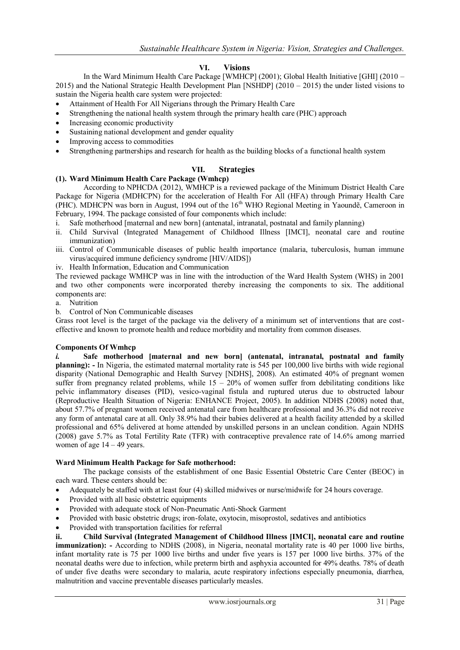# **VI. Visions**

In the Ward Minimum Health Care Package [WMHCP] (2001); Global Health Initiative [GHI] (2010 – 2015) and the National Strategic Health Development Plan [NSHDP] (2010 – 2015) the under listed visions to sustain the Nigeria health care system were projected:

- Attainment of Health For All Nigerians through the Primary Health Care
- Strengthening the national health system through the primary health care (PHC) approach
- Increasing economic productivity
- Sustaining national development and gender equality
- Improving access to commodities
- Strengthening partnerships and research for health as the building blocks of a functional health system

## **VII. Strategies**

## **(1). Ward Minimum Health Care Package (Wmhcp)**

According to NPHCDA (2012), WMHCP is a reviewed package of the Minimum District Health Care Package for Nigeria (MDHCPN) for the acceleration of Health For All (HFA) through Primary Health Care (PHC). MDHCPN was born in August, 1994 out of the 16<sup>th</sup> WHO Regional Meeting in Yaounde, Cameroon in February, 1994. The package consisted of four components which include:

- i. Safe motherhood [maternal and new born] (antenatal, intranatal, postnatal and family planning)
- ii. Child Survival (Integrated Management of Childhood Illness [IMCI], neonatal care and routine immunization)
- iii. Control of Communicable diseases of public health importance (malaria, tuberculosis, human immune virus/acquired immune deficiency syndrome [HIV/AIDS])
- iv. Health Information, Education and Communication

The reviewed package WMHCP was in line with the introduction of the Ward Health System (WHS) in 2001 and two other components were incorporated thereby increasing the components to six. The additional components are:

- a. Nutrition
- b. Control of Non Communicable diseases

Grass root level is the target of the package via the delivery of a minimum set of interventions that are costeffective and known to promote health and reduce morbidity and mortality from common diseases.

## **Components Of Wmhcp**

*i.* **Safe motherhood [maternal and new born] (antenatal, intranatal, postnatal and family planning): -** In Nigeria, the estimated maternal mortality rate is 545 per 100,000 live births with wide regional disparity (National Demographic and Health Survey [NDHS], 2008). An estimated 40% of pregnant women suffer from pregnancy related problems, while  $15 - 20\%$  of women suffer from debilitating conditions like pelvic inflammatory diseases (PID), vesico-vaginal fistula and ruptured uterus due to obstructed labour (Reproductive Health Situation of Nigeria: ENHANCE Project, 2005). In addition NDHS (2008) noted that, about 57.7% of pregnant women received antenatal care from healthcare professional and 36.3% did not receive any form of antenatal care at all. Only 38.9% had their babies delivered at a health facility attended by a skilled professional and 65% delivered at home attended by unskilled persons in an unclean condition. Again NDHS (2008) gave 5.7% as Total Fertility Rate (TFR) with contraceptive prevalence rate of 14.6% among married women of age  $14 - 49$  years.

## **Ward Minimum Health Package for Safe motherhood:**

The package consists of the establishment of one Basic Essential Obstetric Care Center (BEOC) in each ward. These centers should be:

- Adequately be staffed with at least four (4) skilled midwives or nurse/midwife for 24 hours coverage.
- Provided with all basic obstetric equipments
- Provided with adequate stock of Non-Pneumatic Anti-Shock Garment
- Provided with basic obstetric drugs; iron-folate, oxytocin, misoprostol, sedatives and antibiotics
- Provided with transportation facilities for referral

**ii. Child Survival (Integrated Management of Childhood Illness [IMCI], neonatal care and routine immunization):** - According to NDHS (2008), in Nigeria, neonatal mortality rate is 40 per 1000 live births, infant mortality rate is 75 per 1000 live births and under five years is 157 per 1000 live births. 37% of the neonatal deaths were due to infection, while preterm birth and asphyxia accounted for 49% deaths. 78% of death of under five deaths were secondary to malaria, acute respiratory infections especially pneumonia, diarrhea, malnutrition and vaccine preventable diseases particularly measles.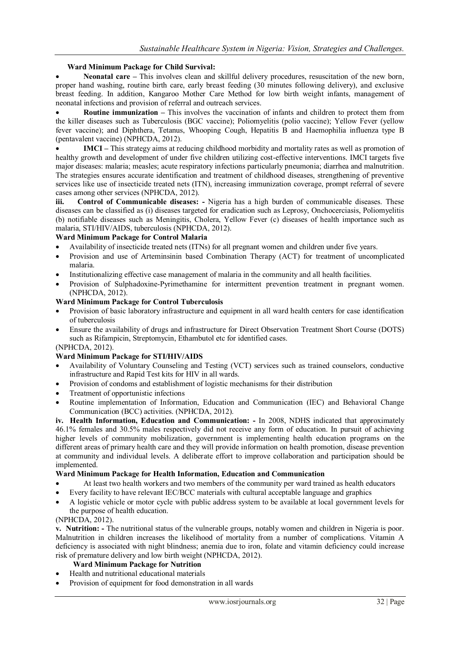## **Ward Minimum Package for Child Survival:**

 **Neonatal care –** This involves clean and skillful delivery procedures, resuscitation of the new born, proper hand washing, routine birth care, early breast feeding (30 minutes following delivery), and exclusive breast feeding. In addition, Kangaroo Mother Care Method for low birth weight infants, management of neonatal infections and provision of referral and outreach services.

 **Routine immunization –** This involves the vaccination of infants and children to protect them from the killer diseases such as Tuberculosis (BGC vaccine); Poliomyelitis (polio vaccine); Yellow Fever (yellow fever vaccine); and Diphthera, Tetanus, Whooping Cough, Hepatitis B and Haemophilia influenza type B (pentavalent vaccine) (NPHCDA, 2012).

**IMCI** – This strategy aims at reducing childhood morbidity and mortality rates as well as promotion of healthy growth and development of under five children utilizing cost-effective interventions. IMCI targets five major diseases: malaria; measles; acute respiratory infections particularly pneumonia; diarrhea and malnutrition. The strategies ensures accurate identification and treatment of childhood diseases, strengthening of preventive services like use of insecticide treated nets (ITN), increasing immunization coverage, prompt referral of severe cases among other services (NPHCDA, 2012).

**iii. Control of Communicable diseases: -** Nigeria has a high burden of communicable diseases. These diseases can be classified as (i) diseases targeted for eradication such as Leprosy, Onchocerciasis, Poliomyelitis (b) notifiable diseases such as Meningitis, Cholera, Yellow Fever (c) diseases of health importance such as malaria, STI/HIV/AIDS, tuberculosis (NPHCDA, 2012).

#### **Ward Minimum Package for Control Malaria**

- Availability of insecticide treated nets (ITNs) for all pregnant women and children under five years.
- Provision and use of Arteminsinin based Combination Therapy (ACT) for treatment of uncomplicated malaria.
- Institutionalizing effective case management of malaria in the community and all health facilities.
- Provision of Sulphadoxine-Pyrimethamine for intermittent prevention treatment in pregnant women. (NPHCDA, 2012).

## **Ward Minimum Package for Control Tuberculosis**

- Provision of basic laboratory infrastructure and equipment in all ward health centers for case identification of tuberculosis
- Ensure the availability of drugs and infrastructure for Direct Observation Treatment Short Course (DOTS) such as Rifampicin, Streptomycin, Ethambutol etc for identified cases.

## (NPHCDA, 2012).

## **Ward Minimum Package for STI/HIV/AIDS**

- Availability of Voluntary Counseling and Testing (VCT) services such as trained counselors, conductive infrastructure and Rapid Test kits for HIV in all wards.
- Provision of condoms and establishment of logistic mechanisms for their distribution
- Treatment of opportunistic infections
- Routine implementation of Information, Education and Communication (IEC) and Behavioral Change Communication (BCC) activities. (NPHCDA, 2012).

**iv. Health Information, Education and Communication: -** In 2008, NDHS indicated that approximately 46.1% females and 30.5% males respectively did not receive any form of education. In pursuit of achieving higher levels of community mobilization, government is implementing health education programs on the different areas of primary health care and they will provide information on health promotion, disease prevention at community and individual levels. A deliberate effort to improve collaboration and participation should be implemented.

## **Ward Minimum Package for Health Information, Education and Communication**

- At least two health workers and two members of the community per ward trained as health educators
- Every facility to have relevant IEC/BCC materials with cultural acceptable language and graphics
- A logistic vehicle or motor cycle with public address system to be available at local government levels for the purpose of health education.

## (NPHCDA, 2012).

**v. Nutrition: -** The nutritional status of the vulnerable groups, notably women and children in Nigeria is poor. Malnutrition in children increases the likelihood of mortality from a number of complications. Vitamin A deficiency is associated with night blindness; anemia due to iron, folate and vitamin deficiency could increase risk of premature delivery and low birth weight (NPHCDA, 2012).

## **Ward Minimum Package for Nutrition**

- Health and nutritional educational materials
- Provision of equipment for food demonstration in all wards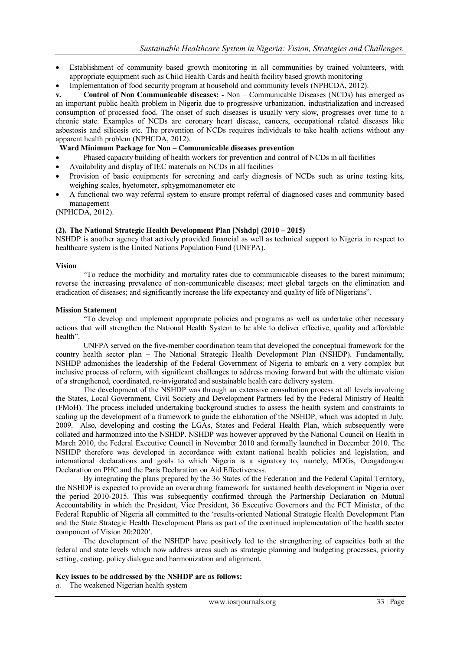- Establishment of community based growth monitoring in all communities by trained volunteers, with appropriate equipment such as Child Health Cards and health facility based growth monitoring
- Implementation of food security program at household and community levels (NPHCDA, 2012).

**v. Control of Non Communicable diseases: -** Non – Communicable Diseases (NCDs) has emerged as an important public health problem in Nigeria due to progressive urbanization, industrialization and increased consumption of processed food. The onset of such diseases is usually very slow, progresses over time to a chronic state. Examples of NCDs are coronary heart disease, cancers, occupational related diseases like asbestosis and silicosis etc. The prevention of NCDs requires individuals to take health actions without any apparent health problem (NPHCDA, 2012).

## **Ward Minimum Package for Non – Communicable diseases prevention**

- Phased capacity building of health workers for prevention and control of NCDs in all facilities
- Availability and display of IEC materials on NCDs in all facilities
- Provision of basic equipments for screening and early diagnosis of NCDs such as urine testing kits, weighing scales, hyetometer, sphygmomanometer etc
- A functional two way referral system to ensure prompt referral of diagnosed cases and community based management

(NPHCDA, 2012).

#### **(2). The National Strategic Health Development Plan [Nshdp] (2010 – 2015)**

NSHDP is another agency that actively provided financial as well as technical support to Nigeria in respect to healthcare system is the United Nations Population Fund (UNFPA).

#### **Vision**

―To reduce the morbidity and mortality rates due to communicable diseases to the barest minimum; reverse the increasing prevalence of non-communicable diseases; meet global targets on the elimination and eradication of diseases; and significantly increase the life expectancy and quality of life of Nigerians".

#### **Mission Statement**

―To develop and implement appropriate policies and programs as well as undertake other necessary actions that will strengthen the National Health System to be able to deliver effective, quality and affordable health"

UNFPA served on the five-member coordination team that developed the conceptual framework for the country health sector plan – The National Strategic Health Development Plan (NSHDP). Fundamentally, NSHDP admonishes the leadership of the Federal Government of Nigeria to embark on a very complex but inclusive process of reform, with significant challenges to address moving forward but with the ultimate vision of a strengthened, coordinated, re-invigorated and sustainable health care delivery system.

The development of the NSHDP was through an extensive consultation process at all levels involving the States, Local Government, Civil Society and Development Partners led by the Federal Ministry of Health (FMoH). The process included undertaking background studies to assess the health system and constraints to scaling up the development of a framework to guide the elaboration of the NSHDP, which was adopted in July, 2009. Also, developing and costing the LGAs, States and Federal Health Plan, which subsequently were collated and harmonized into the NSHDP. NSHDP was however approved by the National Council on Health in March 2010, the Federal Executive Council in November 2010 and formally launched in December 2010. The NSHDP therefore was developed in accordance with extant national health policies and legislation, and international declarations and goals to which Nigeria is a signatory to, namely; MDGs, Ouagadougou Declaration on PHC and the Paris Declaration on Aid Effectiveness.

By integrating the plans prepared by the 36 States of the Federation and the Federal Capital Territory, the NSHDP is expected to provide an overarching framework for sustained health development in Nigeria over the period 2010-2015. This was subsequently confirmed through the Partnership Declaration on Mutual Accountability in which the President, Vice President, 36 Executive Governors and the FCT Minister, of the Federal Republic of Nigeria all committed to the 'results-oriented National Strategic Health Development Plan and the State Strategic Health Development Plans as part of the continued implementation of the health sector component of Vision 20:2020'.

The development of the NSHDP have positively led to the strengthening of capacities both at the federal and state levels which now address areas such as strategic planning and budgeting processes, priority setting, costing, policy dialogue and harmonization and alignment.

#### **Key issues to be addressed by the NSHDP are as follows:**

*a.* The weakened Nigerian health system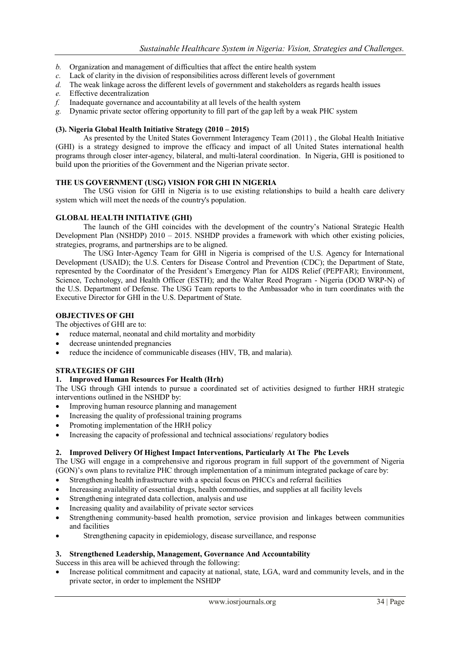- *b.* Organization and management of difficulties that affect the entire health system
- *c.* Lack of clarity in the division of responsibilities across different levels of government
- *d.* The weak linkage across the different levels of government and stakeholders as regards health issues
- *e.* Effective decentralization
- *f.* Inadequate governance and accountability at all levels of the health system
- *g.* Dynamic private sector offering opportunity to fill part of the gap left by a weak PHC system

## **(3). Nigeria Global Health Initiative Strategy (2010 – 2015)**

As presented by the United States Government Interagency Team (2011), the Global Health Initiative (GHI) is a strategy designed to improve the efficacy and impact of all United States international health programs through closer inter-agency, bilateral, and multi-lateral coordination. In Nigeria, GHI is positioned to build upon the priorities of the Government and the Nigerian private sector.

## **THE US GOVERNMENT (USG) VISION FOR GHI IN NIGERIA**

The USG vision for GHI in Nigeria is to use existing relationships to build a health care delivery system which will meet the needs of the country's population.

## **GLOBAL HEALTH INITIATIVE (GHI)**

The launch of the GHI coincides with the development of the country's National Strategic Health Development Plan (NSHDP) 2010 – 2015. NSHDP provides a framework with which other existing policies, strategies, programs, and partnerships are to be aligned.

The USG Inter-Agency Team for GHI in Nigeria is comprised of the U.S. Agency for International Development (USAID); the U.S. Centers for Disease Control and Prevention (CDC); the Department of State, represented by the Coordinator of the President's Emergency Plan for AIDS Relief (PEPFAR); Environment, Science, Technology, and Health Officer (ESTH); and the Walter Reed Program - Nigeria (DOD WRP-N) of the U.S. Department of Defense. The USG Team reports to the Ambassador who in turn coordinates with the Executive Director for GHI in the U.S. Department of State.

#### **OBJECTIVES OF GHI**

The objectives of GHI are to:

- reduce maternal, neonatal and child mortality and morbidity
- decrease unintended pregnancies
- reduce the incidence of communicable diseases (HIV, TB, and malaria).

## **STRATEGIES OF GHI**

#### **1. Improved Human Resources For Health (Hrh)**

The USG through GHI intends to pursue a coordinated set of activities designed to further HRH strategic interventions outlined in the NSHDP by:

- Improving human resource planning and management
- Increasing the quality of professional training programs
- Promoting implementation of the HRH policy
- Increasing the capacity of professional and technical associations/ regulatory bodies

## **2. Improved Delivery Of Highest Impact Interventions, Particularly At The Phc Levels**

The USG will engage in a comprehensive and rigorous program in full support of the government of Nigeria (GON)'s own plans to revitalize PHC through implementation of a minimum integrated package of care by:

- Strengthening health infrastructure with a special focus on PHCCs and referral facilities
- Increasing availability of essential drugs, health commodities, and supplies at all facility levels
- Strengthening integrated data collection, analysis and use
- Increasing quality and availability of private sector services
- Strengthening community-based health promotion, service provision and linkages between communities and facilities
- Strengthening capacity in epidemiology, disease surveillance, and response

#### **3. Strengthened Leadership, Management, Governance And Accountability**

Success in this area will be achieved through the following:

 Increase political commitment and capacity at national, state, LGA, ward and community levels, and in the private sector, in order to implement the NSHDP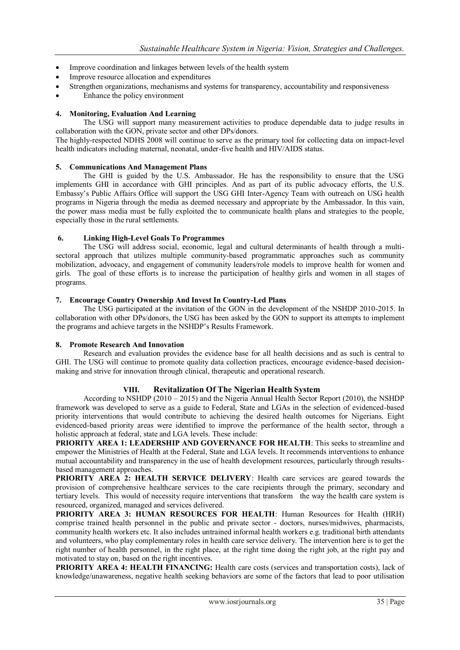- Improve coordination and linkages between levels of the health system
- Improve resource allocation and expenditures
- Strengthen organizations, mechanisms and systems for transparency, accountability and responsiveness
- Enhance the policy environment

## **4. Monitoring, Evaluation And Learning**

The USG will support many measurement activities to produce dependable data to judge results in collaboration with the GON, private sector and other DPs/donors.

The highly-respected NDHS 2008 will continue to serve as the primary tool for collecting data on impact-level health indicators including maternal, neonatal, under-five health and HIV/AIDS status.

## **5. Communications And Management Plans**

The GHI is guided by the U.S. Ambassador. He has the responsibility to ensure that the USG implements GHI in accordance with GHI principles. And as part of its public advocacy efforts, the U.S. Embassy's Public Affairs Office will support the USG GHI Inter-Agency Team with outreach on USG health programs in Nigeria through the media as deemed necessary and appropriate by the Ambassador. In this vain, the power mass media must be fully exploited the to communicate health plans and strategies to the people, especially those in the rural settlements.

## **6. Linking High-Level Goals To Programmes**

The USG will address social, economic, legal and cultural determinants of health through a multisectoral approach that utilizes multiple community-based programmatic approaches such as community mobilization, advocacy, and engagement of community leaders/role models to improve health for women and girls. The goal of these efforts is to increase the participation of healthy girls and women in all stages of programs.

## **7. Encourage Country Ownership And Invest In Country-Led Plans**

The USG participated at the invitation of the GON in the development of the NSHDP 2010-2015. In collaboration with other DPs/donors, the USG has been asked by the GON to support its attempts to implement the programs and achieve targets in the NSHDP's Results Framework.

## **8. Promote Research And Innovation**

Research and evaluation provides the evidence base for all health decisions and as such is central to GHI. The USG will continue to promote quality data collection practices, encourage evidence-based decisionmaking and strive for innovation through clinical, therapeutic and operational research.

## **VIII. Revitalization Of The Nigerian Health System**

According to NSHDP (2010 – 2015) and the Nigeria Annual Health Sector Report (2010), the NSHDP framework was developed to serve as a guide to Federal, State and LGAs in the selection of evidenced-based priority interventions that would contribute to achieving the desired health outcomes for Nigerians. Eight evidenced-based priority areas were identified to improve the performance of the health sector, through a holistic approach at federal, state and LGA levels. These include:

**PRIORITY AREA 1: LEADERSHIP AND GOVERNANCE FOR HEALTH**: This seeks to streamline and empower the Ministries of Health at the Federal, State and LGA levels. It recommends interventions to enhance mutual accountability and transparency in the use of health development resources, particularly through resultsbased management approaches.

**PRIORITY AREA 2: HEALTH SERVICE DELIVERY**: Health care services are geared towards the provision of comprehensive healthcare services to the care recipients through the primary, secondary and tertiary levels. This would of necessity require interventions that transform the way the health care system is resourced, organized, managed and services delivered.

**PRIORITY AREA 3: HUMAN RESOURCES FOR HEALTH**: Human Resources for Health (HRH) comprise trained health personnel in the public and private sector - doctors, nurses/midwives, pharmacists, community health workers etc. It also includes untrained informal health workers e.g. traditional birth attendants and volunteers, who play complementary roles in health care service delivery. The intervention here is to get the right number of health personnel, in the right place, at the right time doing the right job, at the right pay and motivated to stay on, based on the right incentives.

**PRIORITY AREA 4: HEALTH FINANCING:** Health care costs (services and transportation costs), lack of knowledge/unawareness, negative health seeking behaviors are some of the factors that lead to poor utilisation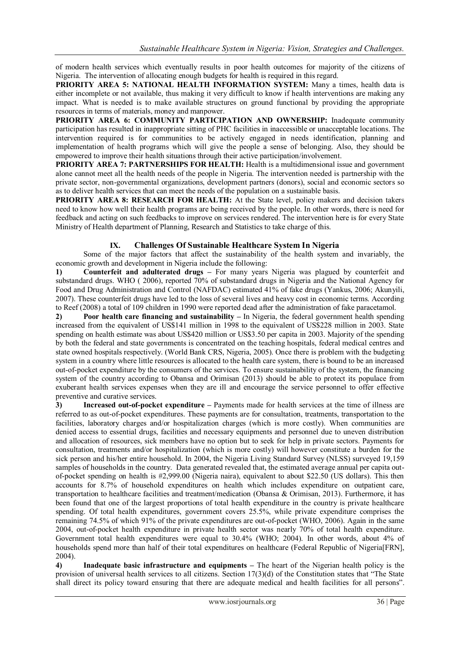of modern health services which eventually results in poor health outcomes for majority of the citizens of Nigeria. The intervention of allocating enough budgets for health is required in this regard.

**PRIORITY AREA 5: NATIONAL HEALTH INFORMATION SYSTEM:** Many a times, health data is either incomplete or not available, thus making it very difficult to know if health interventions are making any impact. What is needed is to make available structures on ground functional by providing the appropriate resources in terms of materials, money and manpower.

**PRIORITY AREA 6: COMMUNITY PARTICIPATION AND OWNERSHIP:** Inadequate community participation has resulted in inappropriate sitting of PHC facilities in inaccessible or unacceptable locations. The intervention required is for communities to be actively engaged in needs identification, planning and implementation of health programs which will give the people a sense of belonging. Also, they should be empowered to improve their health situations through their active participation/involvement.

**PRIORITY AREA 7: PARTNERSHIPS FOR HEALTH:** Health is a multidimensional issue and government alone cannot meet all the health needs of the people in Nigeria. The intervention needed is partnership with the private sector, non-governmental organizations, development partners (donors), social and economic sectors so as to deliver health services that can meet the needs of the population on a sustainable basis.

**PRIORITY AREA 8: RESEARCH FOR HEALTH:** At the State level, policy makers and decision takers need to know how well their health programs are being received by the people. In other words, there is need for feedback and acting on such feedbacks to improve on services rendered. The intervention here is for every State Ministry of Health department of Planning, Research and Statistics to take charge of this.

# **IX. Challenges Of Sustainable Healthcare System In Nigeria**

Some of the major factors that affect the sustainability of the health system and invariably, the economic growth and development in Nigeria include the following:

**1) Counterfeit and adulterated drugs –** For many years Nigeria was plagued by counterfeit and substandard drugs. WHO ( 2006), reported 70% of substandard drugs in Nigeria and the National Agency for Food and Drug Administration and Control (NAFDAC) estimated 41% of fake drugs (Yankus, 2006; Akunyili, 2007). These counterfeit drugs have led to the loss of several lives and heavy cost in economic terms. According to Reef (2008) a total of 109 children in 1990 were reported dead after the administration of fake paracetamol.

**2) Poor health care financing and sustainability – In Nigeria, the federal government health spending** increased from the equivalent of US\$141 million in 1998 to the equivalent of US\$228 million in 2003. State spending on health estimate was about US\$420 million or US\$3.50 per capita in 2003. Majority of the spending by both the federal and state governments is concentrated on the teaching hospitals, federal medical centres and state owned hospitals respectively. (World Bank CRS, Nigeria, 2005). Once there is problem with the budgeting system in a country where little resources is allocated to the health care system, there is bound to be an increased out-of-pocket expenditure by the consumers of the services. To ensure sustainability of the system, the financing system of the country according to Obansa and Orimisan (2013) should be able to protect its populace from exuberant health services expenses when they are ill and encourage the service personnel to offer effective preventive and curative services.

**3) Increased out-of-pocket expenditure –** Payments made for health services at the time of illness are referred to as out-of-pocket expenditures. These payments are for consultation, treatments, transportation to the facilities, laboratory charges and/or hospitalization charges (which is more costly). When communities are denied access to essential drugs, facilities and necessary equipments and personnel due to uneven distribution and allocation of resources, sick members have no option but to seek for help in private sectors. Payments for consultation, treatments and/or hospitalization (which is more costly) will however constitute a burden for the sick person and his/her entire household. In 2004, the Nigeria Living Standard Survey (NLSS) surveyed 19,159 samples of households in the country. Data generated revealed that, the estimated average annual per capita outof-pocket spending on health is #2,999.00 (Nigeria naira), equivalent to about \$22.50 (US dollars). This then accounts for 8.7% of household expenditures on health which includes expenditure on outpatient care, transportation to healthcare facilities and treatment/medication (Obansa & Orimisan, 2013). Furthermore, it has been found that one of the largest proportions of total health expenditure in the country is private healthcare spending. Of total health expenditures, government covers 25.5%, while private expenditure comprises the remaining 74.5% of which 91% of the private expenditures are out-of-pocket (WHO, 2006). Again in the same 2004, out-of-pocket health expenditure in private health sector was nearly 70% of total health expenditure. Government total health expenditures were equal to 30.4% (WHO; 2004). In other words, about 4% of households spend more than half of their total expenditures on healthcare (Federal Republic of Nigeria[FRN], 2004).

**4) Inadequate basic infrastructure and equipments –** The heart of the Nigerian health policy is the provision of universal health services to all citizens. Section  $17(3)(d)$  of the Constitution states that "The State" shall direct its policy toward ensuring that there are adequate medical and health facilities for all persons".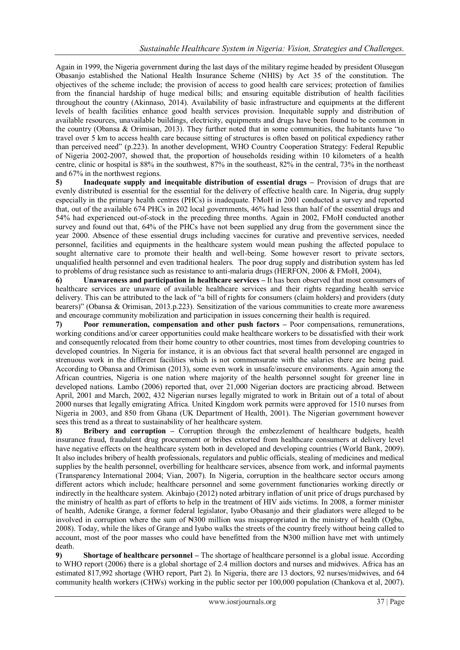Again in 1999, the Nigeria government during the last days of the military regime headed by president Olusegun Obasanjo established the National Health Insurance Scheme (NHIS) by Act 35 of the constitution. The objectives of the scheme include; the provision of access to good health care services; protection of families from the financial hardship of huge medical bills; and ensuring equitable distribution of health facilities throughout the country (Akinnaso, 2014). Availability of basic infrastructure and equipments at the different levels of health facilities enhance good health services provision. Inequitable supply and distribution of available resources, unavailable buildings, electricity, equipments and drugs have been found to be common in the country (Obansa  $&$  Orimisan, 2013). They further noted that in some communities, the habitants have "to travel over 5 km to access health care because sitting of structures is often based on political expediency rather than perceived need" (p.223). In another development, WHO Country Cooperation Strategy: Federal Republic of Nigeria 2002-2007, showed that, the proportion of households residing within 10 kilometers of a health centre, clinic or hospital is 88% in the southwest, 87% in the southeast, 82% in the central, 73% in the northeast and 67% in the northwest regions.

**5) Inadequate supply and inequitable distribution of essential drugs –** Provision of drugs that are evenly distributed is essential for the essential for the delivery of effective health care. In Nigeria, drug supply especially in the primary health centres (PHCs) is inadequate. FMoH in 2001 conducted a survey and reported that, out of the available 674 PHCs in 202 local governments, 46% had less than half of the essential drugs and 54% had experienced out-of-stock in the preceding three months. Again in 2002, FMoH conducted another survey and found out that, 64% of the PHCs have not been supplied any drug from the government since the year 2000. Absence of these essential drugs including vaccines for curative and preventive services, needed personnel, facilities and equipments in the healthcare system would mean pushing the affected populace to sought alternative care to promote their health and well-being. Some however resort to private sectors, unqualified health personnel and even traditional healers. The poor drug supply and distribution system has led to problems of drug resistance such as resistance to anti-malaria drugs (HERFON, 2006 & FMoH, 2004),

**6) Unawareness and participation in healthcare services –** It has been observed that most consumers of healthcare services are unaware of available healthcare services and their rights regarding health service delivery. This can be attributed to the lack of "a bill of rights for consumers (claim holders) and providers (duty bearers)" (Obansa & Orimisan, 2013.p.223). Sensitization of the various communities to create more awareness and encourage community mobilization and participation in issues concerning their health is required.

**7) Poor remuneration, compensation and other push factors –** Poor compensations, remunerations, working conditions and/or career opportunities could make healthcare workers to be dissatisfied with their work and consequently relocated from their home country to other countries, most times from developing countries to developed countries. In Nigeria for instance, it is an obvious fact that several health personnel are engaged in strenuous work in the different facilities which is not commensurate with the salaries there are being paid. According to Obansa and Orimisan (2013), some even work in unsafe/insecure environments. Again among the African countries, Nigeria is one nation where majority of the health personnel sought for greener line in developed nations. Lambo (2006) reported that, over 21,000 Nigerian doctors are practicing abroad. Between April, 2001 and March, 2002, 432 Nigerian nurses legally migrated to work in Britain out of a total of about 2000 nurses that legally emigrating Africa. United Kingdom work permits were approved for 1510 nurses from Nigeria in 2003, and 850 from Ghana (UK Department of Health, 2001). The Nigerian government however sees this trend as a threat to sustainability of her healthcare system.

8) **Bribery and corruption** – Corruption through the embezzlement of healthcare budgets, health insurance fraud, fraudulent drug procurement or bribes extorted from healthcare consumers at delivery level have negative effects on the healthcare system both in developed and developing countries (World Bank, 2009). It also includes bribery of health professionals, regulators and public officials, stealing of medicines and medical supplies by the health personnel, overbilling for healthcare services, absence from work, and informal payments (Transparency International 2004; Vian, 2007). In Nigeria, corruption in the healthcare sector occurs among different actors which include; healthcare personnel and some government functionaries working directly or indirectly in the healthcare system. Akinbajo (2012) noted arbitrary inflation of unit price of drugs purchased by the ministry of health as part of efforts to help in the treatment of HIV aids victims. In 2008, a former minister of health, Adenike Grange, a former federal legislator, Iyabo Obasanjo and their gladiators were alleged to be involved in corruption where the sum of  $\text{H}300$  million was misappropriated in the ministry of health (Ogbu, 2008). Today, while the likes of Grange and Iyabo walks the streets of the country freely without being called to account, most of the poor masses who could have benefitted from the  $\aleph 300$  million have met with untimely death.

**9) Shortage of healthcare personnel –** The shortage of healthcare personnel is a global issue. According to WHO report (2006) there is a global shortage of 2.4 million doctors and nurses and midwives. Africa has an estimated 817,992 shortage (WHO report, Part 2). In Nigeria, there are 13 doctors, 92 nurses/midwives, and 64 community health workers (CHWs) working in the public sector per 100,000 population (Chankova et al, 2007).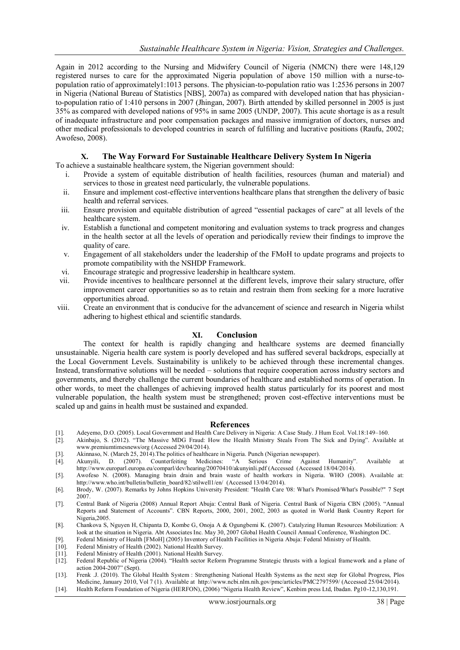Again in 2012 according to the Nursing and Midwifery Council of Nigeria (NMCN) there were 148,129 registered nurses to care for the approximated Nigeria population of above 150 million with a nurse-topopulation ratio of approximately1:1013 persons. The physician-to-population ratio was 1:2536 persons in 2007 in Nigeria (National Bureau of Statistics [NBS], 2007a) as compared with developed nation that has physicianto-population ratio of 1:410 persons in 2007 (Jhingan, 2007). Birth attended by skilled personnel in 2005 is just 35% as compared with developed nations of 95% in same 2005 (UNDP, 2007). This acute shortage is as a result of inadequate infrastructure and poor compensation packages and massive immigration of doctors, nurses and other medical professionals to developed countries in search of fulfilling and lucrative positions (Raufu, 2002; Awofeso, 2008).

## **X. The Way Forward For Sustainable Healthcare Delivery System In Nigeria**

To achieve a sustainable healthcare system, the Nigerian government should:

- i. Provide a system of equitable distribution of health facilities, resources (human and material) and services to those in greatest need particularly, the vulnerable populations.
- ii. Ensure and implement cost-effective interventions healthcare plans that strengthen the delivery of basic health and referral services.
- iii. Ensure provision and equitable distribution of agreed "essential packages of care" at all levels of the healthcare system.
- iv. Establish a functional and competent monitoring and evaluation systems to track progress and changes in the health sector at all the levels of operation and periodically review their findings to improve the quality of care.
- v. Engagement of all stakeholders under the leadership of the FMoH to update programs and projects to promote compatibility with the NSHDP Framework.
- vi. Encourage strategic and progressive leadership in healthcare system.
- vii. Provide incentives to healthcare personnel at the different levels, improve their salary structure, offer improvement career opportunities so as to retain and restrain them from seeking for a more lucrative opportunities abroad.
- viii. Create an environment that is conducive for the advancement of science and research in Nigeria whilst adhering to highest ethical and scientific standards.

#### **XI. Conclusion**

The context for health is rapidly changing and healthcare systems are deemed financially unsustainable. Nigeria health care system is poorly developed and has suffered several backdrops, especially at the Local Government Levels. Sustainability is unlikely to be achieved through these incremental changes. Instead, transformative solutions will be needed – solutions that require cooperation across industry sectors and governments, and thereby challenge the current boundaries of healthcare and established norms of operation. In other words, to meet the challenges of achieving improved health status particularly for its poorest and most vulnerable population, the health system must be strengthened; proven cost-effective interventions must be scaled up and gains in health must be sustained and expanded.

#### **References**

- [1]. Adeyemo, D.O. (2005). Local Government and Health Care Delivery in Nigeria: A Case Study. J Hum Ecol. Vol.18:149–160.
- [2]. Akinbajo, S. (2012). "The Massive MDG Fraud: How the Health Ministry Steals From The Sick and Dying". Available at [www.premiumtimesnews/org](http://www.premiumtimesnews/org) (Accessed 29/04/2014).
- [3]. Akinnaso, N. (March 25, 2014). The politics of healthcare in Nigeria. Punch (Nigerian newspaper).<br>[4]. Akunyili, D. (2007). Counterfeiting Medicines: "A Serious Crime Against
- [4]. Akunyili, D. (2007). Counterfeiting Medicines: "A Serious Crime Against Humanity". Available at [http://www.europarl.europa.eu/comparl/dev/hearing/20070410/akunyinli.pdf](http://www.europarl.europa.eu/comparl/dev/hearing/20070410/akunyinli.pdf%20(Accessed) (Accessed (Accessed 18/04/2014).
- [5]. Awofeso N. (2008). Managing brain drain and brain waste of health workers in Nigeria. WHO (2008). Available at: [http://www.who.int/bulletin/bulletin\\_board/82/stilwell1/en/](http://www.who.int/bulletin/bulletin_board/82/stilwell1/en/) (Accessed 13/04/2014).
- [6]. Brody, W. (2007). Remarks by Johns Hopkins University President: "Health Care '08: What's Promised/What's Possible?" 7 Sept 2007.
- [7]. Central Bank of Nigeria (2008) Annual Report Abuja: Central Bank of Nigeria. Central Bank of Nigeria CBN (2005). "Annual Reports and Statement of Accounts". CBN Reports, 2000, 2001, 2002, 2003 as quoted in World Bank Country Report for Nigeria,2005.
- [8]. Chankova S, Nguyen H, Chipanta D, Kombe G, Onoja A & Ogungbemi K. (2007). Catalyzing Human Resources Mobilization: A look at the situation in Nigeria. Abt Associates Inc. May 30, 2007 Global Health Council Annual Conference, Washington DC.
- [9]. Federal Ministry of Health [FMoH] (2005) Inventory of Health Facilities in Nigeria Abuja: Federal Ministry of Health.
- Federal Ministry of Health (2002). National Health Survey.
- [11]. Federal Ministry of Health (2001). National Health Survey.<br>[12]. Federal Republic of Nigeria (2004). "Health sector Reform
- Federal Republic of Nigeria (2004). "Health sector Reform Programme Strategic thrusts with a logical framework and a plane of action 2004-2007" (Sept).
- [13]. Frenk J. (2010). The Global Health System : Strengthening National Health Systems as the next step for Global Progress, Plos Medicine, January 2010, Vol 7 (1). Available at<http://www.ncbi.nlm.nih.gov/pmc/articles/PMC2797599/> (Accessed 25/04/2014).
- [14]. Health Reform Foundation of Nigeria (HERFON), (2006) "Nigeria Health Review", Kenbim press Ltd, Ibadan. Pg10-12,130,191.